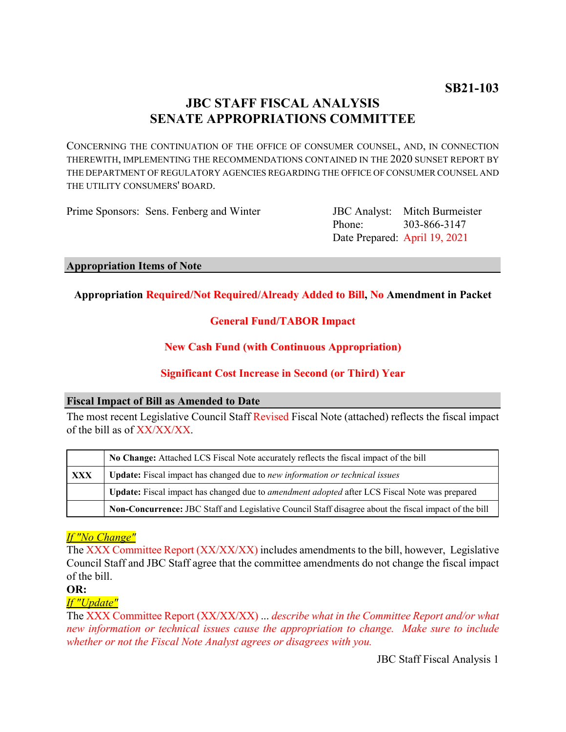# **JBC STAFF FISCAL ANALYSIS SENATE APPROPRIATIONS COMMITTEE**

CONCERNING THE CONTINUATION OF THE OFFICE OF CONSUMER COUNSEL, AND, IN CONNECTION THEREWITH, IMPLEMENTING THE RECOMMENDATIONS CONTAINED IN THE 2020 SUNSET REPORT BY THE DEPARTMENT OF REGULATORY AGENCIES REGARDING THE OFFICE OF CONSUMER COUNSEL AND THE UTILITY CONSUMERS' BOARD.

Prime Sponsors: Sens. Fenberg and Winter

Phone: Date Prepared: April 19, 2021 JBC Analyst: Mitch Burmeister 303-866-3147

#### **Appropriation Items of Note**

#### **Appropriation Required/Not Required/Already Added to Bill, No Amendment in Packet**

# **General Fund/TABOR Impact**

#### **New Cash Fund (with Continuous Appropriation)**

# **Significant Cost Increase in Second (or Third) Year**

#### **Fiscal Impact of Bill as Amended to Date**

The most recent Legislative Council Staff Revised Fiscal Note (attached) reflects the fiscal impact of the bill as of XX/XX/XX.

|     | No Change: Attached LCS Fiscal Note accurately reflects the fiscal impact of the bill                 |
|-----|-------------------------------------------------------------------------------------------------------|
| XXX | Update: Fiscal impact has changed due to new information or technical issues                          |
|     | Update: Fiscal impact has changed due to <i>amendment adopted</i> after LCS Fiscal Note was prepared  |
|     | Non-Concurrence: JBC Staff and Legislative Council Staff disagree about the fiscal impact of the bill |

# *If "No Change"*

The XXX Committee Report (XX/XX/XX) includes amendments to the bill, however, Legislative Council Staff and JBC Staff agree that the committee amendments do not change the fiscal impact of the bill.

**OR:**

#### *If "Update"*

The XXX Committee Report (XX/XX/XX) ... *describe what in the Committee Report and/or what new information or technical issues cause the appropriation to change. Make sure to include whether or not the Fiscal Note Analyst agrees or disagrees with you.*

JBC Staff Fiscal Analysis 1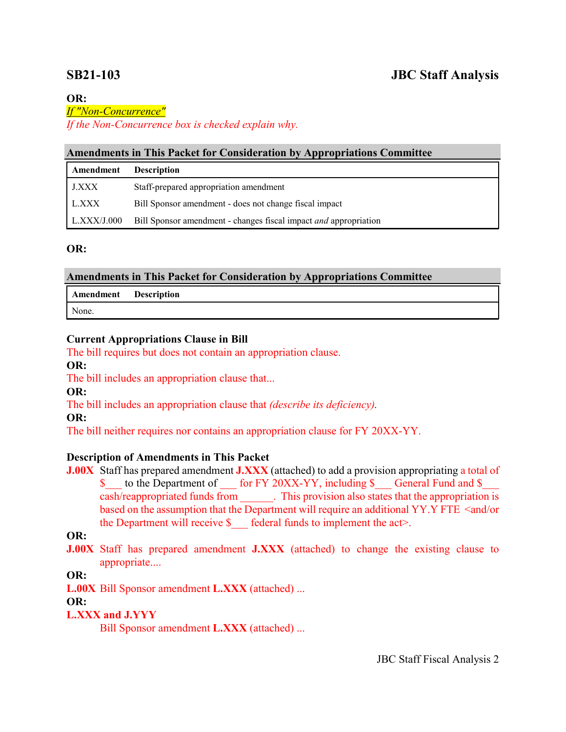#### **OR:**

#### *If "Non-Concurrence"*

*If the Non-Concurrence box is checked explain why.* 

#### **Amendments in This Packet for Consideration by Appropriations Committee**

| Amendment          | <b>Description</b>                                               |
|--------------------|------------------------------------------------------------------|
| J.XXX              | Staff-prepared appropriation amendment                           |
| L.XXX              | Bill Sponsor amendment - does not change fiscal impact           |
| $\mid$ L.XXX/J.000 | Bill Sponsor amendment - changes fiscal impact and appropriation |

#### **OR:**

# **Amendments in This Packet for Consideration by Appropriations Committee**

| <b>Amendment</b> Description |  |
|------------------------------|--|
| None.                        |  |

#### **Current Appropriations Clause in Bill**

The bill requires but does not contain an appropriation clause.

**OR:**

The bill includes an appropriation clause that...

**OR:**

The bill includes an appropriation clause that *(describe its deficiency).*

**OR:**

The bill neither requires nor contains an appropriation clause for FY 20XX-YY.

# **Description of Amendments in This Packet**

**J.00X** Staff has prepared amendment **J.XXX** (attached) to add a provision appropriating a total of \$ to the Department of for FY 20XX-YY, including \$ General Fund and \$ cash/reappropriated funds from . This provision also states that the appropriation is based on the assumption that the Department will require an additional YY.Y FTE <and/or the Department will receive  $\S$  federal funds to implement the act>.

# **OR:**

**J.00X** Staff has prepared amendment **J.XXX** (attached) to change the existing clause to appropriate....

# **OR:**

**L.00X** Bill Sponsor amendment **L.XXX** (attached) ...

# **OR:**

# **L.XXX and J.YYY**

Bill Sponsor amendment **L.XXX** (attached) ...